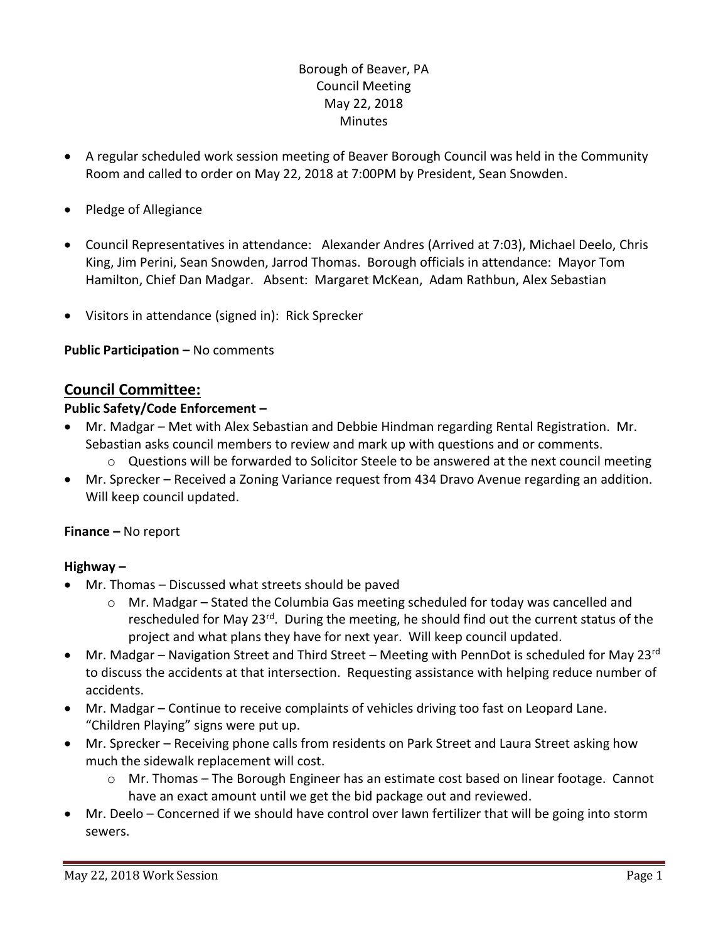## Borough of Beaver, PA Council Meeting May 22, 2018 **Minutes**

- A regular scheduled work session meeting of Beaver Borough Council was held in the Community Room and called to order on May 22, 2018 at 7:00PM by President, Sean Snowden.
- Pledge of Allegiance
- Council Representatives in attendance: Alexander Andres (Arrived at 7:03), Michael Deelo, Chris King, Jim Perini, Sean Snowden, Jarrod Thomas. Borough officials in attendance: Mayor Tom Hamilton, Chief Dan Madgar. Absent: Margaret McKean, Adam Rathbun, Alex Sebastian
- Visitors in attendance (signed in): Rick Sprecker

**Public Participation –** No comments

# **Council Committee:**

### **Public Safety/Code Enforcement –**

- Mr. Madgar Met with Alex Sebastian and Debbie Hindman regarding Rental Registration. Mr. Sebastian asks council members to review and mark up with questions and or comments.
	- $\circ$  Questions will be forwarded to Solicitor Steele to be answered at the next council meeting
- Mr. Sprecker Received a Zoning Variance request from 434 Dravo Avenue regarding an addition. Will keep council updated.

### **Finance –** No report

### **Highway –**

- Mr. Thomas Discussed what streets should be paved
	- $\circ$  Mr. Madgar Stated the Columbia Gas meeting scheduled for today was cancelled and rescheduled for May 23<sup>rd</sup>. During the meeting, he should find out the current status of the project and what plans they have for next year. Will keep council updated.
- $\bullet$  Mr. Madgar Navigation Street and Third Street Meeting with PennDot is scheduled for May 23<sup>rd</sup> to discuss the accidents at that intersection. Requesting assistance with helping reduce number of accidents.
- Mr. Madgar Continue to receive complaints of vehicles driving too fast on Leopard Lane. "Children Playing" signs were put up.
- Mr. Sprecker Receiving phone calls from residents on Park Street and Laura Street asking how much the sidewalk replacement will cost.
	- $\circ$  Mr. Thomas The Borough Engineer has an estimate cost based on linear footage. Cannot have an exact amount until we get the bid package out and reviewed.
- Mr. Deelo Concerned if we should have control over lawn fertilizer that will be going into storm sewers.